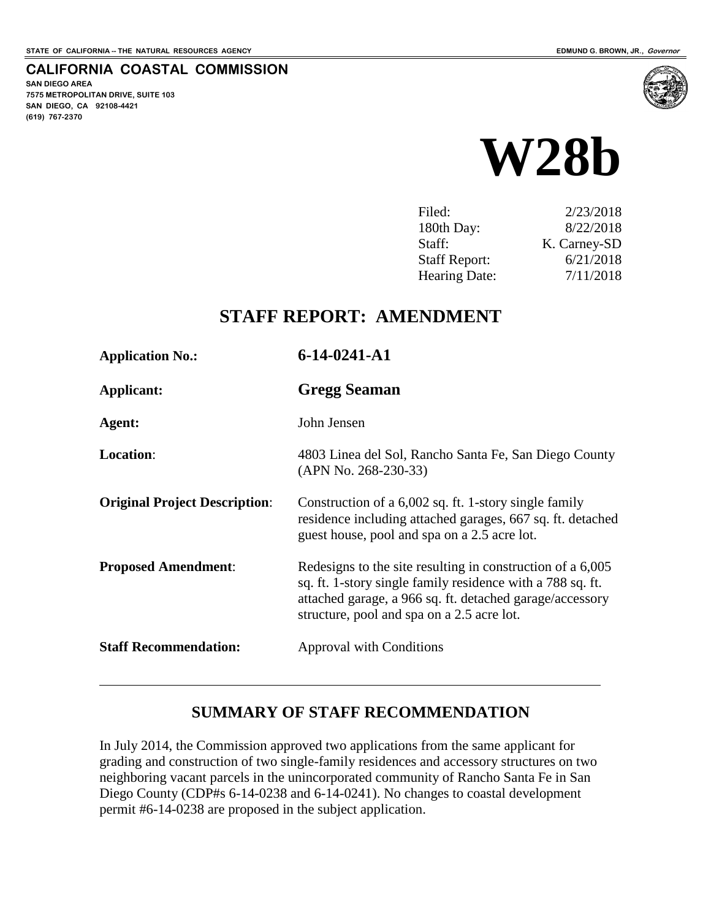**SAN DIEGO AREA**

**(619) 767-2370**

**7575 METROPOLITAN DRIVE, SUITE 103 SAN DIEGO, CA 92108-4421**

**CALIFORNIA COASTAL COMMISSION**

**W28b** 

| Filed:               | 2/23/2018    |
|----------------------|--------------|
| 180th Day:           | 8/22/2018    |
| Staff:               | K. Carney-SD |
| <b>Staff Report:</b> | 6/21/2018    |
| Hearing Date:        | 7/11/2018    |

# **STAFF REPORT: AMENDMENT**

| <b>Application No.:</b>              | 6-14-0241-A1                                                                                                                                                                                                                       |
|--------------------------------------|------------------------------------------------------------------------------------------------------------------------------------------------------------------------------------------------------------------------------------|
| Applicant:                           | <b>Gregg Seaman</b>                                                                                                                                                                                                                |
| Agent:                               | John Jensen                                                                                                                                                                                                                        |
| Location:                            | 4803 Linea del Sol, Rancho Santa Fe, San Diego County<br>$(APN No. 268-230-33)$                                                                                                                                                    |
| <b>Original Project Description:</b> | Construction of a 6,002 sq. ft. 1-story single family<br>residence including attached garages, 667 sq. ft. detached<br>guest house, pool and spa on a 2.5 acre lot.                                                                |
| <b>Proposed Amendment:</b>           | Redesigns to the site resulting in construction of a 6,005<br>sq. ft. 1-story single family residence with a 788 sq. ft.<br>attached garage, a 966 sq. ft. detached garage/accessory<br>structure, pool and spa on a 2.5 acre lot. |
| <b>Staff Recommendation:</b>         | <b>Approval with Conditions</b>                                                                                                                                                                                                    |

#### **SUMMARY OF STAFF RECOMMENDATION**

In July 2014, the Commission approved two applications from the same applicant for grading and construction of two single-family residences and accessory structures on two neighboring vacant parcels in the unincorporated community of Rancho Santa Fe in San Diego County (CDP#s 6-14-0238 and 6-14-0241). No changes to coastal development permit #6-14-0238 are proposed in the subject application.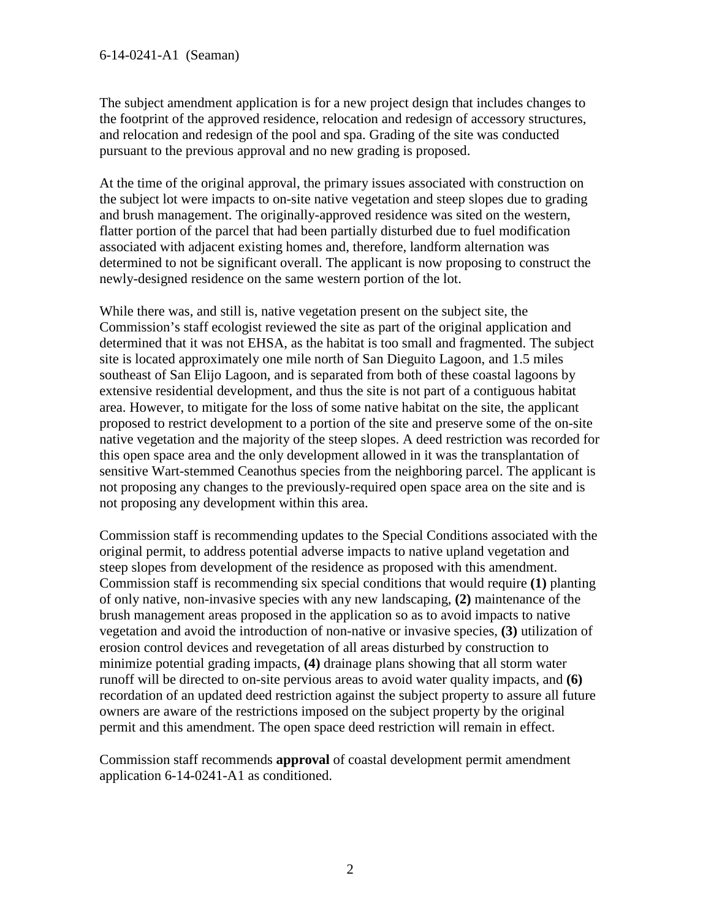#### 6-14-0241-A1 (Seaman)

The subject amendment application is for a new project design that includes changes to the footprint of the approved residence, relocation and redesign of accessory structures, and relocation and redesign of the pool and spa. Grading of the site was conducted pursuant to the previous approval and no new grading is proposed.

At the time of the original approval, the primary issues associated with construction on the subject lot were impacts to on-site native vegetation and steep slopes due to grading and brush management. The originally-approved residence was sited on the western, flatter portion of the parcel that had been partially disturbed due to fuel modification associated with adjacent existing homes and, therefore, landform alternation was determined to not be significant overall. The applicant is now proposing to construct the newly-designed residence on the same western portion of the lot.

While there was, and still is, native vegetation present on the subject site, the Commission's staff ecologist reviewed the site as part of the original application and determined that it was not EHSA, as the habitat is too small and fragmented. The subject site is located approximately one mile north of San Dieguito Lagoon, and 1.5 miles southeast of San Elijo Lagoon, and is separated from both of these coastal lagoons by extensive residential development, and thus the site is not part of a contiguous habitat area. However, to mitigate for the loss of some native habitat on the site, the applicant proposed to restrict development to a portion of the site and preserve some of the on-site native vegetation and the majority of the steep slopes. A deed restriction was recorded for this open space area and the only development allowed in it was the transplantation of sensitive Wart-stemmed Ceanothus species from the neighboring parcel. The applicant is not proposing any changes to the previously-required open space area on the site and is not proposing any development within this area.

Commission staff is recommending updates to the Special Conditions associated with the original permit, to address potential adverse impacts to native upland vegetation and steep slopes from development of the residence as proposed with this amendment. Commission staff is recommending six special conditions that would require **(1)** planting of only native, non-invasive species with any new landscaping, **(2)** maintenance of the brush management areas proposed in the application so as to avoid impacts to native vegetation and avoid the introduction of non-native or invasive species, **(3)** utilization of erosion control devices and revegetation of all areas disturbed by construction to minimize potential grading impacts, **(4)** drainage plans showing that all storm water runoff will be directed to on-site pervious areas to avoid water quality impacts, and **(6)**  recordation of an updated deed restriction against the subject property to assure all future owners are aware of the restrictions imposed on the subject property by the original permit and this amendment. The open space deed restriction will remain in effect.

Commission staff recommends **approval** of coastal development permit amendment application 6-14-0241-A1 as conditioned.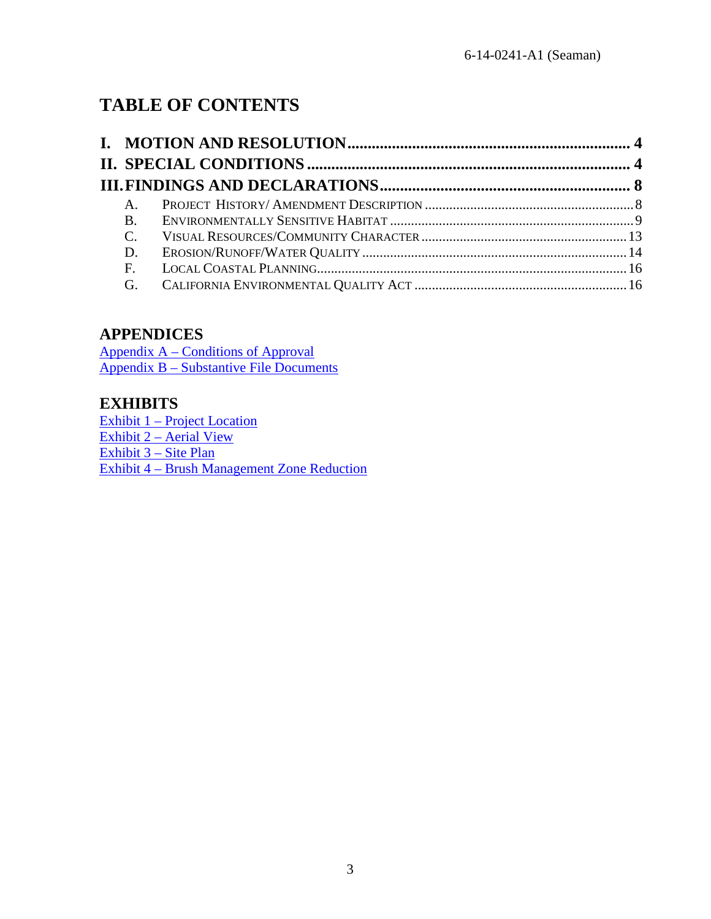# **TABLE OF CONTENTS**

|  | $A_{\cdot}$   |  |  |
|--|---------------|--|--|
|  | $B_{\cdot}$   |  |  |
|  | $\mathcal{C}$ |  |  |
|  | D.            |  |  |
|  |               |  |  |
|  |               |  |  |

# **APPENDICES**

[Appendix A – Conditions of Approval](#page-16-0) [Appendix B – Substantive File Documents](#page-25-0)

# **EXHIBITS**

[Exhibit 1 – Project Location](https://documents.coastal.ca.gov/reports/2018/7/W28b/W28b-7-2018-exhibits.pdf)  [Exhibit 2 – Aerial View](https://documents.coastal.ca.gov/reports/2018/7/W28b/W28b-7-2018-exhibits.pdf) [Exhibit 3 – Site Plan](https://documents.coastal.ca.gov/reports/2018/7/W28b/W28b-7-2018-exhibits.pdf) [Exhibit 4 – Brush Management Zone Reduction](https://documents.coastal.ca.gov/reports/2018/7/W28b/W28b-7-2018-exhibits.pdf)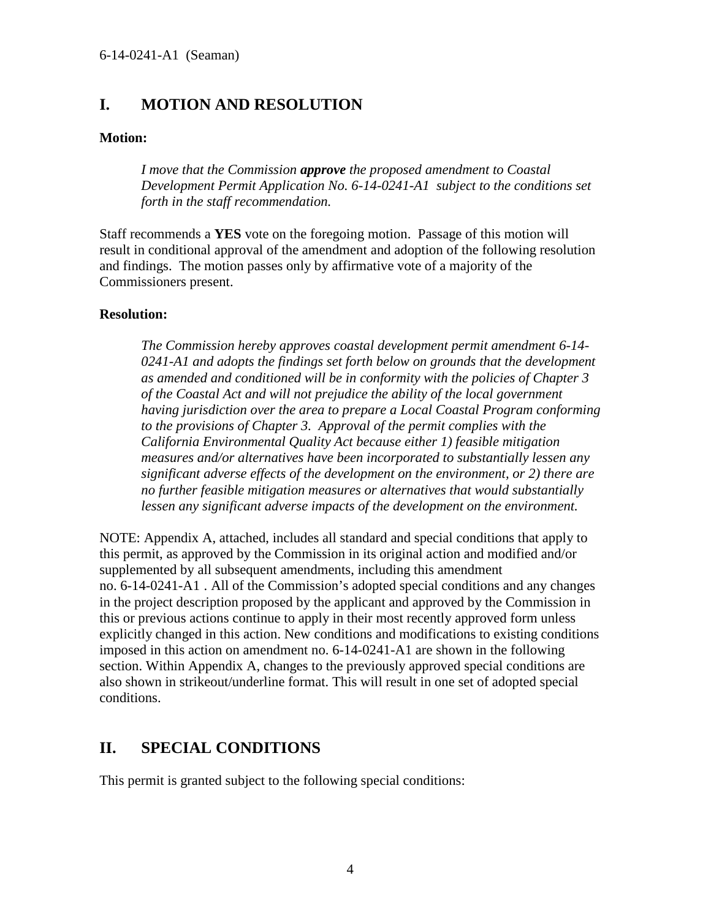# <span id="page-3-0"></span>**I. MOTION AND RESOLUTION**

#### **Motion:**

*I move that the Commission approve the proposed amendment to Coastal Development Permit Application No. 6-14-0241-A1 subject to the conditions set forth in the staff recommendation.* 

Staff recommends a **YES** vote on the foregoing motion. Passage of this motion will result in conditional approval of the amendment and adoption of the following resolution and findings. The motion passes only by affirmative vote of a majority of the Commissioners present.

#### **Resolution:**

*The Commission hereby approves coastal development permit amendment 6-14- 0241-A1 and adopts the findings set forth below on grounds that the development as amended and conditioned will be in conformity with the policies of Chapter 3 of the Coastal Act and will not prejudice the ability of the local government having jurisdiction over the area to prepare a Local Coastal Program conforming to the provisions of Chapter 3. Approval of the permit complies with the California Environmental Quality Act because either 1) feasible mitigation measures and/or alternatives have been incorporated to substantially lessen any significant adverse effects of the development on the environment, or 2) there are no further feasible mitigation measures or alternatives that would substantially lessen any significant adverse impacts of the development on the environment.* 

NOTE: Appendix A, attached, includes all standard and special conditions that apply to this permit, as approved by the Commission in its original action and modified and/or supplemented by all subsequent amendments, including this amendment no. 6-14-0241-A1 . All of the Commission's adopted special conditions and any changes in the project description proposed by the applicant and approved by the Commission in this or previous actions continue to apply in their most recently approved form unless explicitly changed in this action. New conditions and modifications to existing conditions imposed in this action on amendment no. 6-14-0241-A1 are shown in the following section. Within Appendix A, changes to the previously approved special conditions are also shown in strikeout/underline format. This will result in one set of adopted special conditions.

# <span id="page-3-1"></span>**II. SPECIAL CONDITIONS**

This permit is granted subject to the following special conditions: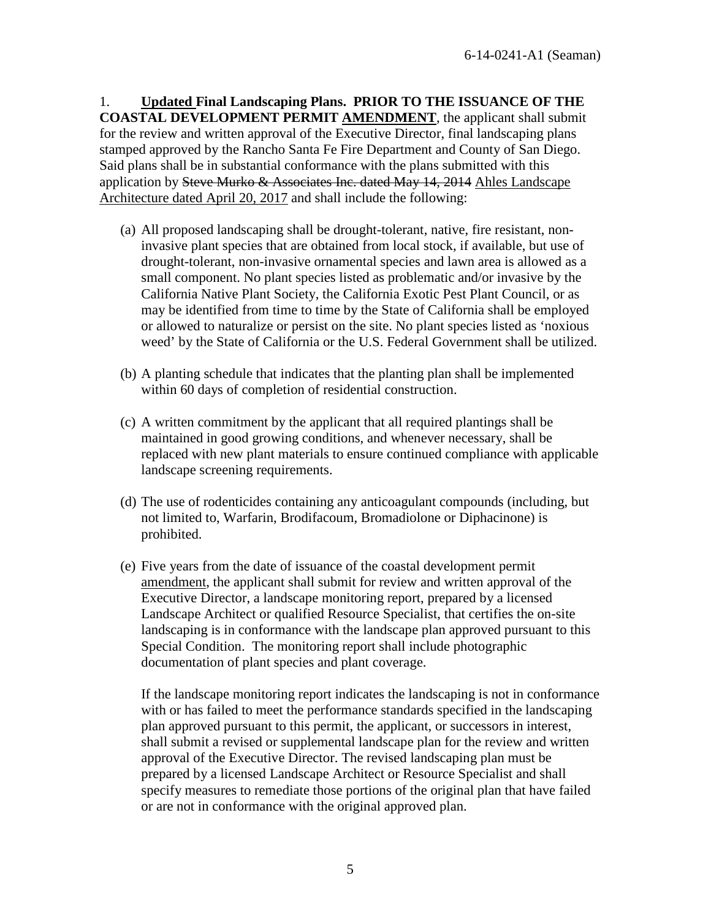1. **Updated Final Landscaping Plans. PRIOR TO THE ISSUANCE OF THE COASTAL DEVELOPMENT PERMIT AMENDMENT**, the applicant shall submit for the review and written approval of the Executive Director, final landscaping plans stamped approved by the Rancho Santa Fe Fire Department and County of San Diego. Said plans shall be in substantial conformance with the plans submitted with this application by Steve Murko & Associates Inc. dated May 14, 2014 Ahles Landscape Architecture dated April 20, 2017 and shall include the following:

- (a) All proposed landscaping shall be drought-tolerant, native, fire resistant, noninvasive plant species that are obtained from local stock, if available, but use of drought-tolerant, non-invasive ornamental species and lawn area is allowed as a small component. No plant species listed as problematic and/or invasive by the California Native Plant Society, the California Exotic Pest Plant Council, or as may be identified from time to time by the State of California shall be employed or allowed to naturalize or persist on the site. No plant species listed as 'noxious weed' by the State of California or the U.S. Federal Government shall be utilized.
- (b) A planting schedule that indicates that the planting plan shall be implemented within 60 days of completion of residential construction.
- (c) A written commitment by the applicant that all required plantings shall be maintained in good growing conditions, and whenever necessary, shall be replaced with new plant materials to ensure continued compliance with applicable landscape screening requirements.
- (d) The use of rodenticides containing any anticoagulant compounds (including, but not limited to, Warfarin, Brodifacoum, Bromadiolone or Diphacinone) is prohibited.
- (e) Five years from the date of issuance of the coastal development permit amendment, the applicant shall submit for review and written approval of the Executive Director, a landscape monitoring report, prepared by a licensed Landscape Architect or qualified Resource Specialist, that certifies the on-site landscaping is in conformance with the landscape plan approved pursuant to this Special Condition. The monitoring report shall include photographic documentation of plant species and plant coverage.

If the landscape monitoring report indicates the landscaping is not in conformance with or has failed to meet the performance standards specified in the landscaping plan approved pursuant to this permit, the applicant, or successors in interest, shall submit a revised or supplemental landscape plan for the review and written approval of the Executive Director. The revised landscaping plan must be prepared by a licensed Landscape Architect or Resource Specialist and shall specify measures to remediate those portions of the original plan that have failed or are not in conformance with the original approved plan.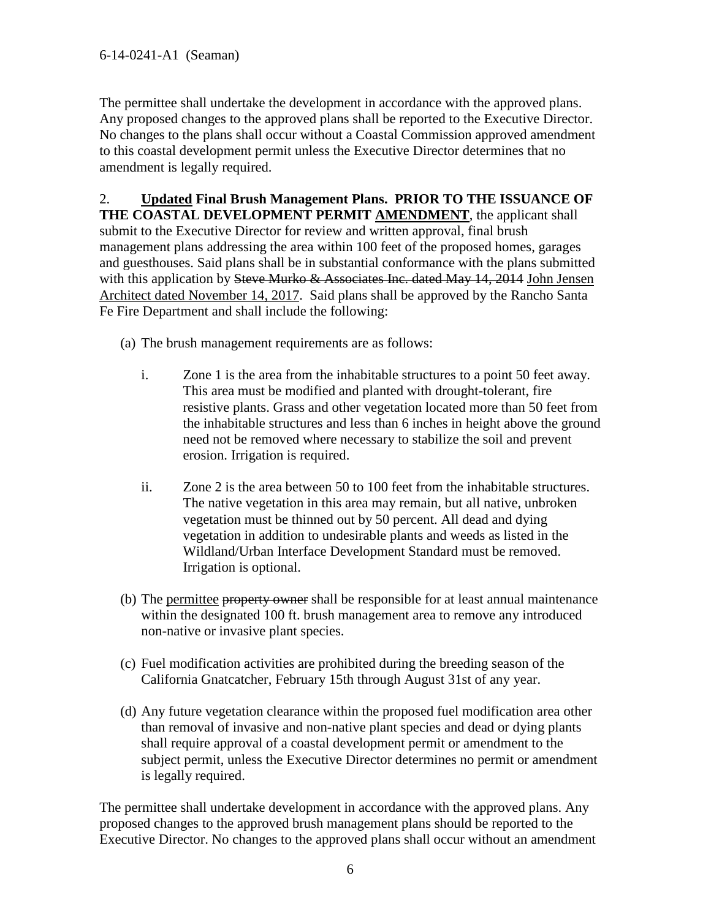The permittee shall undertake the development in accordance with the approved plans. Any proposed changes to the approved plans shall be reported to the Executive Director. No changes to the plans shall occur without a Coastal Commission approved amendment to this coastal development permit unless the Executive Director determines that no amendment is legally required.

2. **Updated Final Brush Management Plans. PRIOR TO THE ISSUANCE OF THE COASTAL DEVELOPMENT PERMIT AMENDMENT**, the applicant shall submit to the Executive Director for review and written approval, final brush management plans addressing the area within 100 feet of the proposed homes, garages and guesthouses. Said plans shall be in substantial conformance with the plans submitted with this application by Steve Murko & Associates Inc. dated May 14, 2014 John Jensen Architect dated November 14, 2017. Said plans shall be approved by the Rancho Santa Fe Fire Department and shall include the following:

(a) The brush management requirements are as follows:

- i. Zone 1 is the area from the inhabitable structures to a point 50 feet away. This area must be modified and planted with drought-tolerant, fire resistive plants. Grass and other vegetation located more than 50 feet from the inhabitable structures and less than 6 inches in height above the ground need not be removed where necessary to stabilize the soil and prevent erosion. Irrigation is required.
- ii. Zone 2 is the area between 50 to 100 feet from the inhabitable structures. The native vegetation in this area may remain, but all native, unbroken vegetation must be thinned out by 50 percent. All dead and dying vegetation in addition to undesirable plants and weeds as listed in the Wildland/Urban Interface Development Standard must be removed. Irrigation is optional.
- (b) The permittee property owner shall be responsible for at least annual maintenance within the designated 100 ft. brush management area to remove any introduced non-native or invasive plant species.
- (c) Fuel modification activities are prohibited during the breeding season of the California Gnatcatcher, February 15th through August 31st of any year.
- (d) Any future vegetation clearance within the proposed fuel modification area other than removal of invasive and non-native plant species and dead or dying plants shall require approval of a coastal development permit or amendment to the subject permit, unless the Executive Director determines no permit or amendment is legally required.

The permittee shall undertake development in accordance with the approved plans. Any proposed changes to the approved brush management plans should be reported to the Executive Director. No changes to the approved plans shall occur without an amendment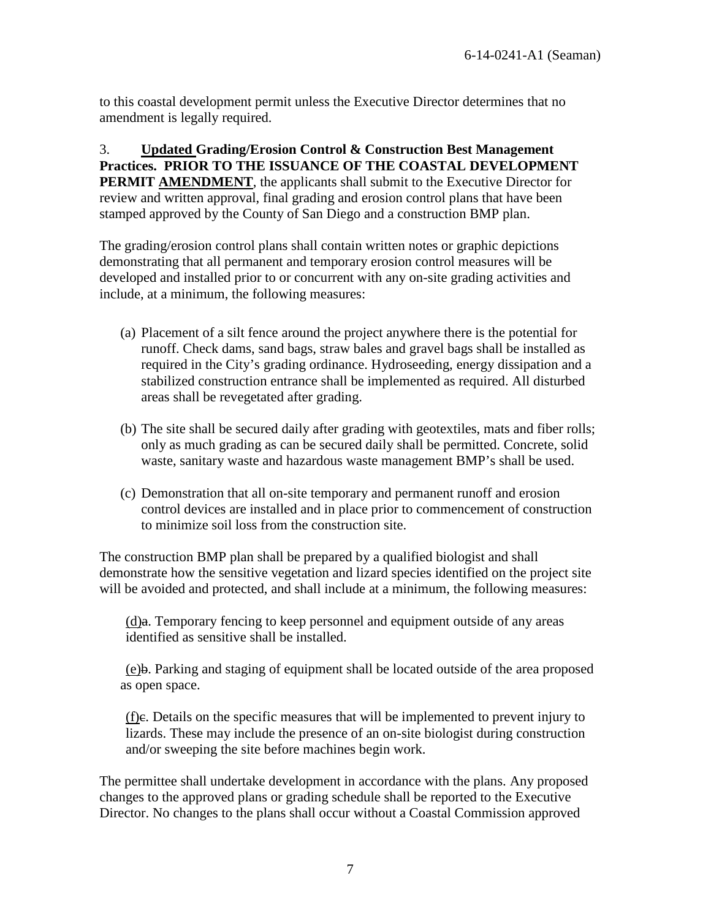to this coastal development permit unless the Executive Director determines that no amendment is legally required.

3. **Updated Grading/Erosion Control & Construction Best Management Practices. PRIOR TO THE ISSUANCE OF THE COASTAL DEVELOPMENT PERMIT AMENDMENT**, the applicants shall submit to the Executive Director for review and written approval, final grading and erosion control plans that have been stamped approved by the County of San Diego and a construction BMP plan.

The grading/erosion control plans shall contain written notes or graphic depictions demonstrating that all permanent and temporary erosion control measures will be developed and installed prior to or concurrent with any on-site grading activities and include, at a minimum, the following measures:

- (a) Placement of a silt fence around the project anywhere there is the potential for runoff. Check dams, sand bags, straw bales and gravel bags shall be installed as required in the City's grading ordinance. Hydroseeding, energy dissipation and a stabilized construction entrance shall be implemented as required. All disturbed areas shall be revegetated after grading.
- (b) The site shall be secured daily after grading with geotextiles, mats and fiber rolls; only as much grading as can be secured daily shall be permitted. Concrete, solid waste, sanitary waste and hazardous waste management BMP's shall be used.
- (c) Demonstration that all on-site temporary and permanent runoff and erosion control devices are installed and in place prior to commencement of construction to minimize soil loss from the construction site.

The construction BMP plan shall be prepared by a qualified biologist and shall demonstrate how the sensitive vegetation and lizard species identified on the project site will be avoided and protected, and shall include at a minimum, the following measures:

 $(d)$ a. Temporary fencing to keep personnel and equipment outside of any areas identified as sensitive shall be installed.

(e)b. Parking and staging of equipment shall be located outside of the area proposed as open space.

(f)c. Details on the specific measures that will be implemented to prevent injury to lizards. These may include the presence of an on-site biologist during construction and/or sweeping the site before machines begin work.

The permittee shall undertake development in accordance with the plans. Any proposed changes to the approved plans or grading schedule shall be reported to the Executive Director. No changes to the plans shall occur without a Coastal Commission approved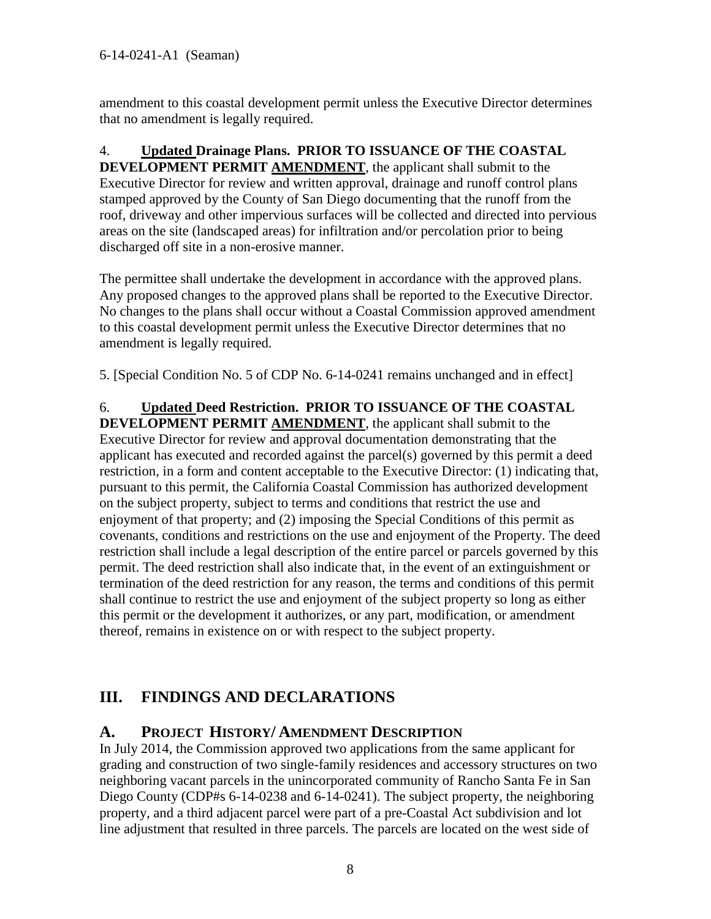amendment to this coastal development permit unless the Executive Director determines that no amendment is legally required.

## 4. **Updated Drainage Plans. PRIOR TO ISSUANCE OF THE COASTAL**

**DEVELOPMENT PERMIT AMENDMENT**, the applicant shall submit to the Executive Director for review and written approval, drainage and runoff control plans stamped approved by the County of San Diego documenting that the runoff from the roof, driveway and other impervious surfaces will be collected and directed into pervious areas on the site (landscaped areas) for infiltration and/or percolation prior to being discharged off site in a non-erosive manner.

The permittee shall undertake the development in accordance with the approved plans. Any proposed changes to the approved plans shall be reported to the Executive Director. No changes to the plans shall occur without a Coastal Commission approved amendment to this coastal development permit unless the Executive Director determines that no amendment is legally required.

5. [Special Condition No. 5 of CDP No. 6-14-0241 remains unchanged and in effect]

6. **Updated Deed Restriction. PRIOR TO ISSUANCE OF THE COASTAL DEVELOPMENT PERMIT AMENDMENT**, the applicant shall submit to the Executive Director for review and approval documentation demonstrating that the applicant has executed and recorded against the parcel(s) governed by this permit a deed restriction, in a form and content acceptable to the Executive Director: (1) indicating that, pursuant to this permit, the California Coastal Commission has authorized development on the subject property, subject to terms and conditions that restrict the use and enjoyment of that property; and (2) imposing the Special Conditions of this permit as covenants, conditions and restrictions on the use and enjoyment of the Property. The deed restriction shall include a legal description of the entire parcel or parcels governed by this permit. The deed restriction shall also indicate that, in the event of an extinguishment or termination of the deed restriction for any reason, the terms and conditions of this permit shall continue to restrict the use and enjoyment of the subject property so long as either this permit or the development it authorizes, or any part, modification, or amendment thereof, remains in existence on or with respect to the subject property.

# <span id="page-7-0"></span>**III. FINDINGS AND DECLARATIONS**

## <span id="page-7-1"></span>**A. PROJECT HISTORY/ AMENDMENT DESCRIPTION**

In July 2014, the Commission approved two applications from the same applicant for grading and construction of two single-family residences and accessory structures on two neighboring vacant parcels in the unincorporated community of Rancho Santa Fe in San Diego County (CDP#s 6-14-0238 and 6-14-0241). The subject property, the neighboring property, and a third adjacent parcel were part of a pre-Coastal Act subdivision and lot line adjustment that resulted in three parcels. The parcels are located on the west side of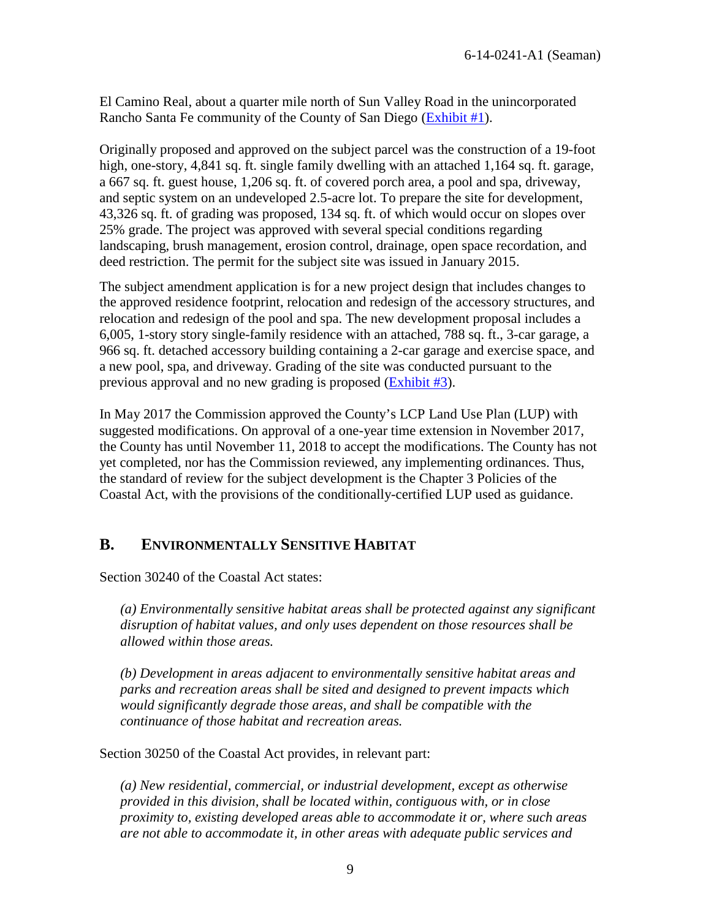El Camino Real, about a quarter mile north of Sun Valley Road in the unincorporated Rancho Santa Fe community of the County of San Diego [\(Exhibit #1\)](https://documents.coastal.ca.gov/reports/2018/7/W28b/W28b-7-2018-exhibits.pdf).

Originally proposed and approved on the subject parcel was the construction of a 19-foot high, one-story, 4,841 sq. ft. single family dwelling with an attached 1,164 sq. ft. garage, a 667 sq. ft. guest house, 1,206 sq. ft. of covered porch area, a pool and spa, driveway, and septic system on an undeveloped 2.5-acre lot. To prepare the site for development, 43,326 sq. ft. of grading was proposed, 134 sq. ft. of which would occur on slopes over 25% grade. The project was approved with several special conditions regarding landscaping, brush management, erosion control, drainage, open space recordation, and deed restriction. The permit for the subject site was issued in January 2015.

The subject amendment application is for a new project design that includes changes to the approved residence footprint, relocation and redesign of the accessory structures, and relocation and redesign of the pool and spa. The new development proposal includes a 6,005, 1-story story single-family residence with an attached, 788 sq. ft., 3-car garage, a 966 sq. ft. detached accessory building containing a 2-car garage and exercise space, and a new pool, spa, and driveway. Grading of the site was conducted pursuant to the previous approval and no new grading is proposed [\(Exhibit #3\)](https://documents.coastal.ca.gov/reports/2018/7/W28b/W28b-7-2018-exhibits.pdf).

In May 2017 the Commission approved the County's LCP Land Use Plan (LUP) with suggested modifications. On approval of a one-year time extension in November 2017, the County has until November 11, 2018 to accept the modifications. The County has not yet completed, nor has the Commission reviewed, any implementing ordinances. Thus, the standard of review for the subject development is the Chapter 3 Policies of the Coastal Act, with the provisions of the conditionally-certified LUP used as guidance.

## <span id="page-8-0"></span>**B. ENVIRONMENTALLY SENSITIVE HABITAT**

Section 30240 of the Coastal Act states:

*(a) Environmentally sensitive habitat areas shall be protected against any significant disruption of habitat values, and only uses dependent on those resources shall be allowed within those areas.*

*(b) Development in areas adjacent to environmentally sensitive habitat areas and parks and recreation areas shall be sited and designed to prevent impacts which would significantly degrade those areas, and shall be compatible with the continuance of those habitat and recreation areas.* 

Section 30250 of the Coastal Act provides, in relevant part:

*(a) New residential, commercial, or industrial development, except as otherwise provided in this division, shall be located within, contiguous with, or in close proximity to, existing developed areas able to accommodate it or, where such areas are not able to accommodate it, in other areas with adequate public services and*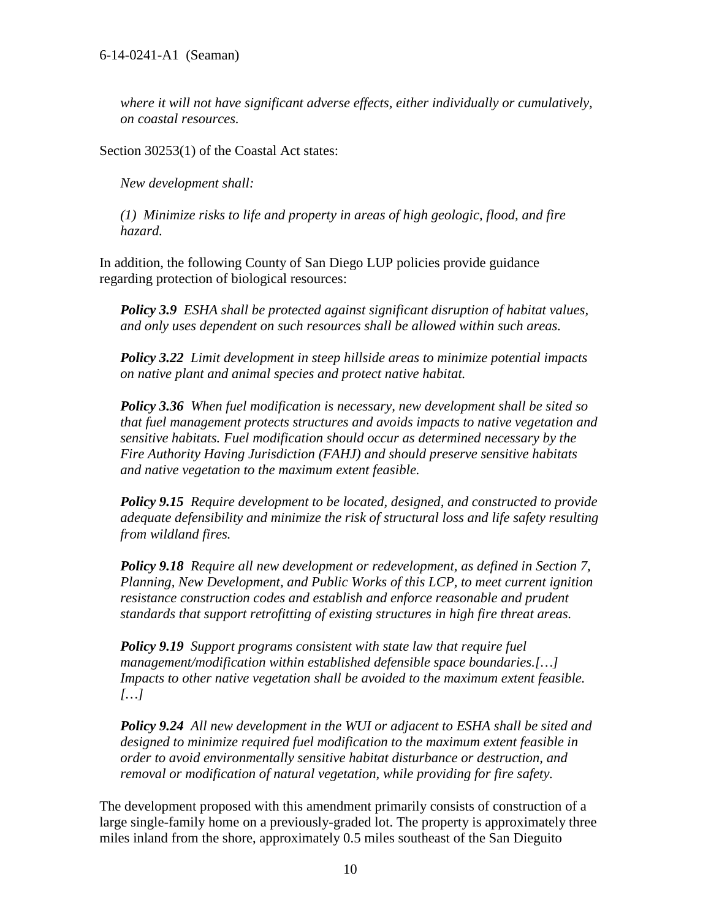*where it will not have significant adverse effects, either individually or cumulatively, on coastal resources.* 

Section 30253(1) of the Coastal Act states:

*New development shall:* 

*(1) Minimize risks to life and property in areas of high geologic, flood, and fire hazard.* 

In addition, the following County of San Diego LUP policies provide guidance regarding protection of biological resources:

*Policy 3.9 ESHA shall be protected against significant disruption of habitat values, and only uses dependent on such resources shall be allowed within such areas.* 

*Policy 3.22 Limit development in steep hillside areas to minimize potential impacts on native plant and animal species and protect native habitat.* 

*Policy 3.36 When fuel modification is necessary, new development shall be sited so that fuel management protects structures and avoids impacts to native vegetation and sensitive habitats. Fuel modification should occur as determined necessary by the Fire Authority Having Jurisdiction (FAHJ) and should preserve sensitive habitats and native vegetation to the maximum extent feasible.*

*Policy 9.15 Require development to be located, designed, and constructed to provide adequate defensibility and minimize the risk of structural loss and life safety resulting from wildland fires.*

*Policy 9.18 Require all new development or redevelopment, as defined in Section 7, Planning, New Development, and Public Works of this LCP, to meet current ignition resistance construction codes and establish and enforce reasonable and prudent standards that support retrofitting of existing structures in high fire threat areas.*

*Policy 9.19 Support programs consistent with state law that require fuel management/modification within established defensible space boundaries.[…] Impacts to other native vegetation shall be avoided to the maximum extent feasible. […]* 

*Policy 9.24 All new development in the WUI or adjacent to ESHA shall be sited and designed to minimize required fuel modification to the maximum extent feasible in order to avoid environmentally sensitive habitat disturbance or destruction, and removal or modification of natural vegetation, while providing for fire safety.* 

The development proposed with this amendment primarily consists of construction of a large single-family home on a previously-graded lot. The property is approximately three miles inland from the shore, approximately 0.5 miles southeast of the San Dieguito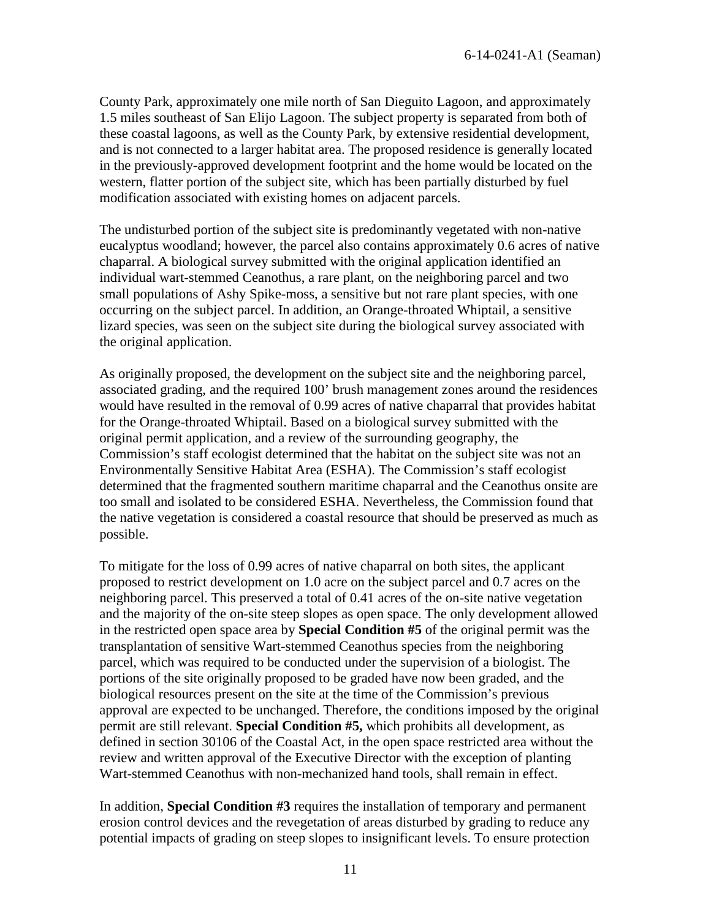County Park, approximately one mile north of San Dieguito Lagoon, and approximately 1.5 miles southeast of San Elijo Lagoon. The subject property is separated from both of these coastal lagoons, as well as the County Park, by extensive residential development, and is not connected to a larger habitat area. The proposed residence is generally located in the previously-approved development footprint and the home would be located on the western, flatter portion of the subject site, which has been partially disturbed by fuel modification associated with existing homes on adjacent parcels.

The undisturbed portion of the subject site is predominantly vegetated with non-native eucalyptus woodland; however, the parcel also contains approximately 0.6 acres of native chaparral. A biological survey submitted with the original application identified an individual wart-stemmed Ceanothus, a rare plant, on the neighboring parcel and two small populations of Ashy Spike-moss, a sensitive but not rare plant species, with one occurring on the subject parcel. In addition, an Orange-throated Whiptail, a sensitive lizard species, was seen on the subject site during the biological survey associated with the original application.

As originally proposed, the development on the subject site and the neighboring parcel, associated grading, and the required 100' brush management zones around the residences would have resulted in the removal of 0.99 acres of native chaparral that provides habitat for the Orange-throated Whiptail. Based on a biological survey submitted with the original permit application, and a review of the surrounding geography, the Commission's staff ecologist determined that the habitat on the subject site was not an Environmentally Sensitive Habitat Area (ESHA). The Commission's staff ecologist determined that the fragmented southern maritime chaparral and the Ceanothus onsite are too small and isolated to be considered ESHA. Nevertheless, the Commission found that the native vegetation is considered a coastal resource that should be preserved as much as possible.

To mitigate for the loss of 0.99 acres of native chaparral on both sites, the applicant proposed to restrict development on 1.0 acre on the subject parcel and 0.7 acres on the neighboring parcel. This preserved a total of 0.41 acres of the on-site native vegetation and the majority of the on-site steep slopes as open space. The only development allowed in the restricted open space area by **Special Condition #5** of the original permit was the transplantation of sensitive Wart-stemmed Ceanothus species from the neighboring parcel, which was required to be conducted under the supervision of a biologist. The portions of the site originally proposed to be graded have now been graded, and the biological resources present on the site at the time of the Commission's previous approval are expected to be unchanged. Therefore, the conditions imposed by the original permit are still relevant. **Special Condition #5,** which prohibits all development, as defined in section 30106 of the Coastal Act, in the open space restricted area without the review and written approval of the Executive Director with the exception of planting Wart-stemmed Ceanothus with non-mechanized hand tools, shall remain in effect.

In addition, **Special Condition #3** requires the installation of temporary and permanent erosion control devices and the revegetation of areas disturbed by grading to reduce any potential impacts of grading on steep slopes to insignificant levels. To ensure protection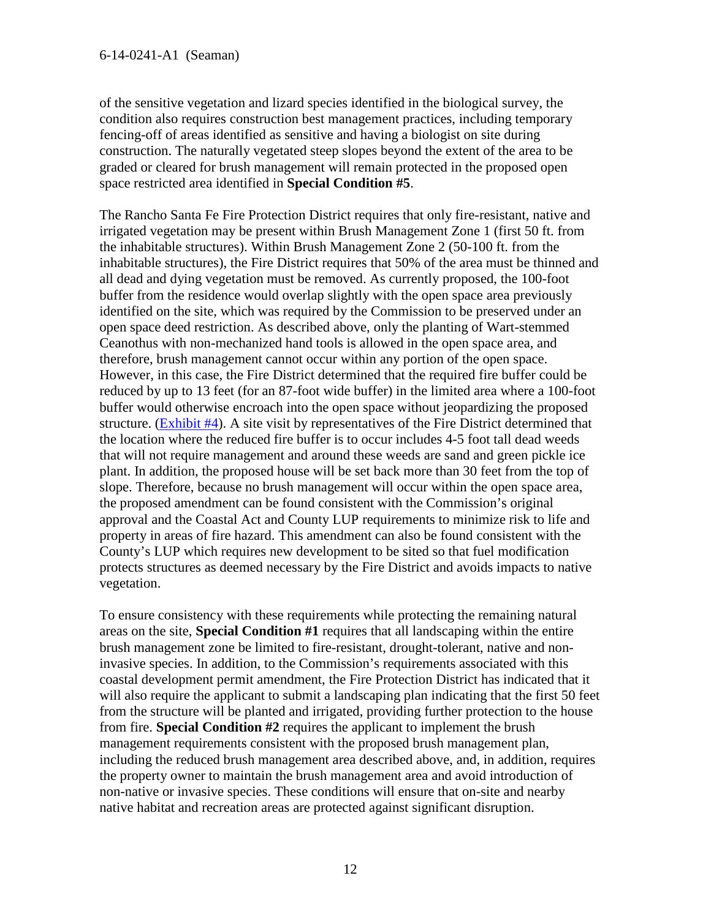of the sensitive vegetation and lizard species identified in the biological survey, the condition also requires construction best management practices, including temporary fencing-off of areas identified as sensitive and having a biologist on site during construction. The naturally vegetated steep slopes beyond the extent of the area to be graded or cleared for brush management will remain protected in the proposed open space restricted area identified in **Special Condition #5**.

The Rancho Santa Fe Fire Protection District requires that only fire-resistant, native and irrigated vegetation may be present within Brush Management Zone 1 (first 50 ft. from the inhabitable structures). Within Brush Management Zone 2 (50-100 ft. from the inhabitable structures), the Fire District requires that 50% of the area must be thinned and all dead and dying vegetation must be removed. As currently proposed, the 100-foot buffer from the residence would overlap slightly with the open space area previously identified on the site, which was required by the Commission to be preserved under an open space deed restriction. As described above, only the planting of Wart-stemmed Ceanothus with non-mechanized hand tools is allowed in the open space area, and therefore, brush management cannot occur within any portion of the open space. However, in this case, the Fire District determined that the required fire buffer could be reduced by up to 13 feet (for an 87-foot wide buffer) in the limited area where a 100-foot buffer would otherwise encroach into the open space without jeopardizing the proposed structure. [\(Exhibit #4\)](https://documents.coastal.ca.gov/reports/2018/7/W28b/W28b-7-2018-exhibits.pdf). A site visit by representatives of the Fire District determined that the location where the reduced fire buffer is to occur includes 4-5 foot tall dead weeds that will not require management and around these weeds are sand and green pickle ice plant. In addition, the proposed house will be set back more than 30 feet from the top of slope. Therefore, because no brush management will occur within the open space area, the proposed amendment can be found consistent with the Commission's original approval and the Coastal Act and County LUP requirements to minimize risk to life and property in areas of fire hazard. This amendment can also be found consistent with the County's LUP which requires new development to be sited so that fuel modification protects structures as deemed necessary by the Fire District and avoids impacts to native vegetation.

To ensure consistency with these requirements while protecting the remaining natural areas on the site, **Special Condition #1** requires that all landscaping within the entire brush management zone be limited to fire-resistant, drought-tolerant, native and noninvasive species. In addition, to the Commission's requirements associated with this coastal development permit amendment, the Fire Protection District has indicated that it will also require the applicant to submit a landscaping plan indicating that the first 50 feet from the structure will be planted and irrigated, providing further protection to the house from fire. **Special Condition #2** requires the applicant to implement the brush management requirements consistent with the proposed brush management plan, including the reduced brush management area described above, and, in addition, requires the property owner to maintain the brush management area and avoid introduction of non-native or invasive species. These conditions will ensure that on-site and nearby native habitat and recreation areas are protected against significant disruption.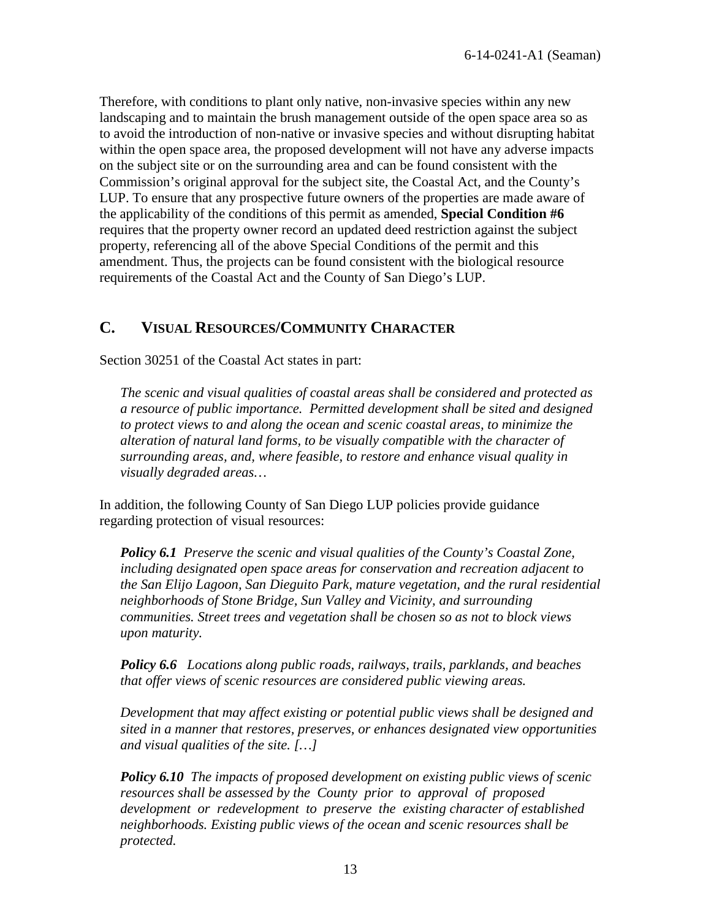Therefore, with conditions to plant only native, non-invasive species within any new landscaping and to maintain the brush management outside of the open space area so as to avoid the introduction of non-native or invasive species and without disrupting habitat within the open space area, the proposed development will not have any adverse impacts on the subject site or on the surrounding area and can be found consistent with the Commission's original approval for the subject site, the Coastal Act, and the County's LUP. To ensure that any prospective future owners of the properties are made aware of the applicability of the conditions of this permit as amended, **Special Condition #6** requires that the property owner record an updated deed restriction against the subject property, referencing all of the above Special Conditions of the permit and this amendment. Thus, the projects can be found consistent with the biological resource requirements of the Coastal Act and the County of San Diego's LUP.

## <span id="page-12-0"></span>**C. VISUAL RESOURCES/COMMUNITY CHARACTER**

Section 30251 of the Coastal Act states in part:

*The scenic and visual qualities of coastal areas shall be considered and protected as a resource of public importance. Permitted development shall be sited and designed to protect views to and along the ocean and scenic coastal areas, to minimize the alteration of natural land forms, to be visually compatible with the character of surrounding areas, and, where feasible, to restore and enhance visual quality in visually degraded areas…* 

In addition, the following County of San Diego LUP policies provide guidance regarding protection of visual resources:

*Policy 6.1 Preserve the scenic and visual qualities of the County's Coastal Zone, including designated open space areas for conservation and recreation adjacent to the San Elijo Lagoon, San Dieguito Park, mature vegetation, and the rural residential neighborhoods of Stone Bridge, Sun Valley and Vicinity, and surrounding communities. Street trees and vegetation shall be chosen so as not to block views upon maturity.* 

*Policy 6.6 Locations along public roads, railways, trails, parklands, and beaches that offer views of scenic resources are considered public viewing areas.*

*Development that may affect existing or potential public views shall be designed and sited in a manner that restores, preserves, or enhances designated view opportunities and visual qualities of the site. […]* 

*Policy 6.10 The impacts of proposed development on existing public views of scenic resources shall be assessed by the County prior to approval of proposed development or redevelopment to preserve the existing character of established neighborhoods. Existing public views of the ocean and scenic resources shall be protected.*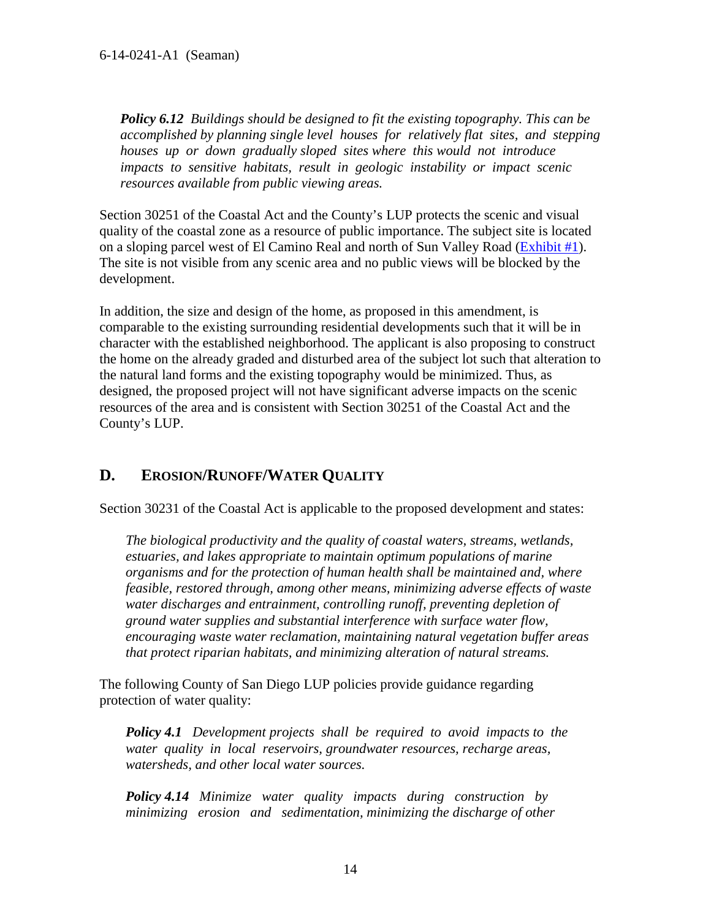*Policy 6.12 Buildings should be designed to fit the existing topography. This can be accomplished by planning single level houses for relatively flat sites, and stepping houses up or down gradually sloped sites where this would not introduce impacts to sensitive habitats, result in geologic instability or impact scenic resources available from public viewing areas.*

Section 30251 of the Coastal Act and the County's LUP protects the scenic and visual quality of the coastal zone as a resource of public importance. The subject site is located on a sloping parcel west of El Camino Real and north of Sun Valley Road [\(Exhibit #1\)](https://documents.coastal.ca.gov/reports/2018/7/W28b/W28b-7-2018-exhibits.pdf). The site is not visible from any scenic area and no public views will be blocked by the development.

In addition, the size and design of the home, as proposed in this amendment, is comparable to the existing surrounding residential developments such that it will be in character with the established neighborhood. The applicant is also proposing to construct the home on the already graded and disturbed area of the subject lot such that alteration to the natural land forms and the existing topography would be minimized. Thus, as designed, the proposed project will not have significant adverse impacts on the scenic resources of the area and is consistent with Section 30251 of the Coastal Act and the County's LUP.

## <span id="page-13-0"></span>**D. EROSION/RUNOFF/WATER QUALITY**

Section 30231 of the Coastal Act is applicable to the proposed development and states:

*The biological productivity and the quality of coastal waters, streams, wetlands, estuaries, and lakes appropriate to maintain optimum populations of marine organisms and for the protection of human health shall be maintained and, where feasible, restored through, among other means, minimizing adverse effects of waste water discharges and entrainment, controlling runoff, preventing depletion of ground water supplies and substantial interference with surface water flow, encouraging waste water reclamation, maintaining natural vegetation buffer areas that protect riparian habitats, and minimizing alteration of natural streams.* 

The following County of San Diego LUP policies provide guidance regarding protection of water quality:

*Policy 4.1 Development projects shall be required to avoid impacts to the water quality in local reservoirs, groundwater resources, recharge areas, watersheds, and other local water sources.* 

*Policy 4.14 Minimize water quality impacts during construction by minimizing erosion and sedimentation, minimizing the discharge of other*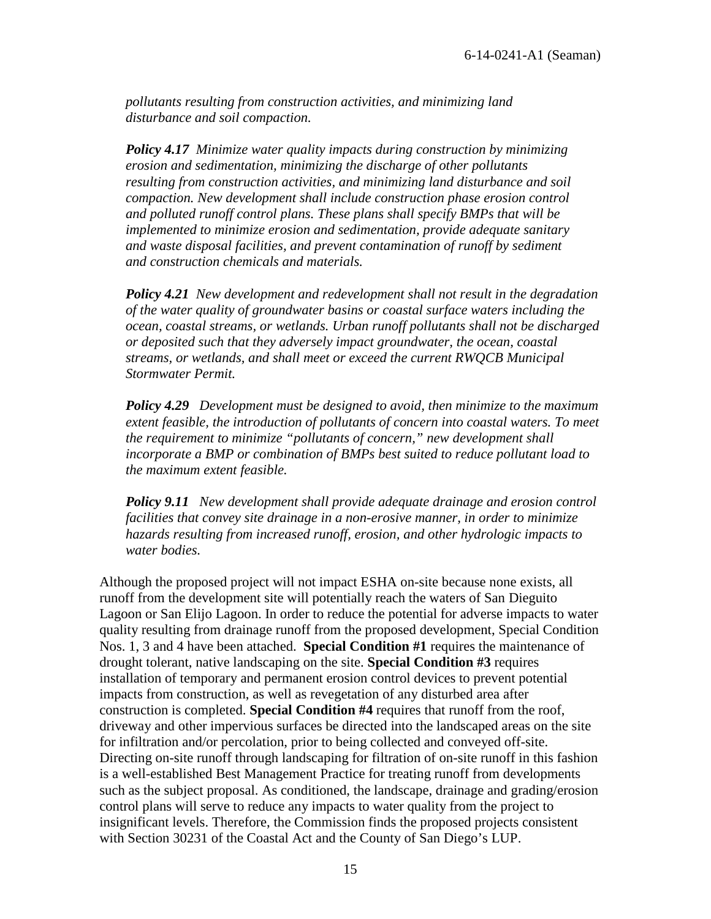*pollutants resulting from construction activities, and minimizing land disturbance and soil compaction.* 

*Policy 4.17 Minimize water quality impacts during construction by minimizing erosion and sedimentation, minimizing the discharge of other pollutants resulting from construction activities, and minimizing land disturbance and soil compaction. New development shall include construction phase erosion control and polluted runoff control plans. These plans shall specify BMPs that will be implemented to minimize erosion and sedimentation, provide adequate sanitary and waste disposal facilities, and prevent contamination of runoff by sediment and construction chemicals and materials.*

*Policy 4.21 New development and redevelopment shall not result in the degradation of the water quality of groundwater basins or coastal surface waters including the ocean, coastal streams, or wetlands. Urban runoff pollutants shall not be discharged or deposited such that they adversely impact groundwater, the ocean, coastal streams, or wetlands, and shall meet or exceed the current RWQCB Municipal Stormwater Permit.*

*Policy 4.29 Development must be designed to avoid, then minimize to the maximum extent feasible, the introduction of pollutants of concern into coastal waters. To meet the requirement to minimize "pollutants of concern," new development shall incorporate a BMP or combination of BMPs best suited to reduce pollutant load to the maximum extent feasible.*

*Policy 9.11 New development shall provide adequate drainage and erosion control facilities that convey site drainage in a non-erosive manner, in order to minimize hazards resulting from increased runoff, erosion, and other hydrologic impacts to water bodies.*

Although the proposed project will not impact ESHA on-site because none exists, all runoff from the development site will potentially reach the waters of San Dieguito Lagoon or San Elijo Lagoon. In order to reduce the potential for adverse impacts to water quality resulting from drainage runoff from the proposed development, Special Condition Nos. 1, 3 and 4 have been attached. **Special Condition #1** requires the maintenance of drought tolerant, native landscaping on the site. **Special Condition #3** requires installation of temporary and permanent erosion control devices to prevent potential impacts from construction, as well as revegetation of any disturbed area after construction is completed. **Special Condition #4** requires that runoff from the roof, driveway and other impervious surfaces be directed into the landscaped areas on the site for infiltration and/or percolation, prior to being collected and conveyed off-site. Directing on-site runoff through landscaping for filtration of on-site runoff in this fashion is a well-established Best Management Practice for treating runoff from developments such as the subject proposal. As conditioned, the landscape, drainage and grading/erosion control plans will serve to reduce any impacts to water quality from the project to insignificant levels. Therefore, the Commission finds the proposed projects consistent with Section 30231 of the Coastal Act and the County of San Diego's LUP.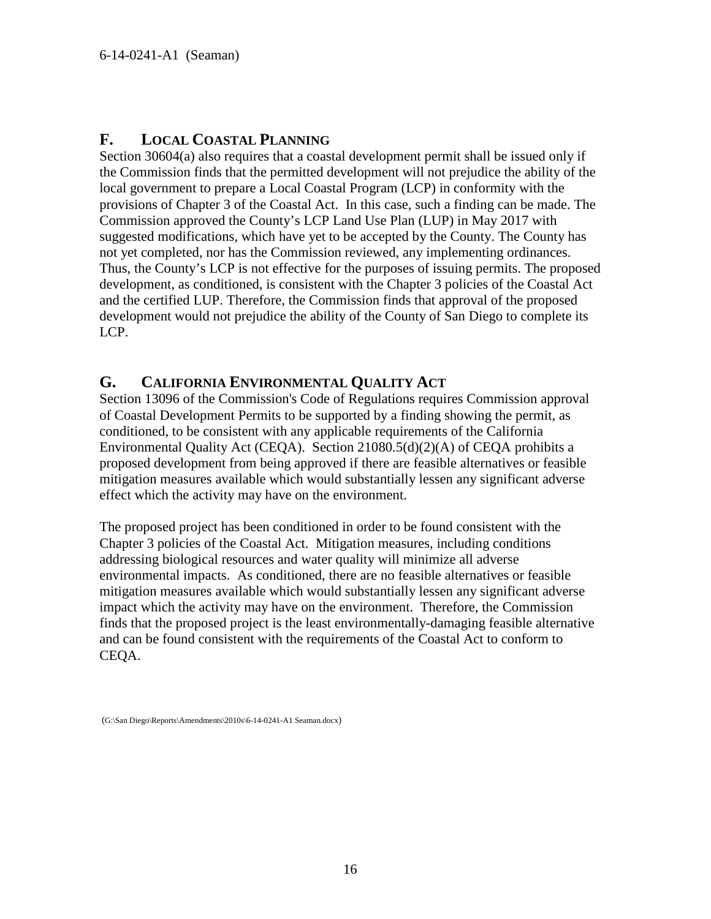#### <span id="page-15-0"></span>**F. LOCAL COASTAL PLANNING**

Section 30604(a) also requires that a coastal development permit shall be issued only if the Commission finds that the permitted development will not prejudice the ability of the local government to prepare a Local Coastal Program (LCP) in conformity with the provisions of Chapter 3 of the Coastal Act. In this case, such a finding can be made. The Commission approved the County's LCP Land Use Plan (LUP) in May 2017 with suggested modifications, which have yet to be accepted by the County. The County has not yet completed, nor has the Commission reviewed, any implementing ordinances. Thus, the County's LCP is not effective for the purposes of issuing permits. The proposed development, as conditioned, is consistent with the Chapter 3 policies of the Coastal Act and the certified LUP. Therefore, the Commission finds that approval of the proposed development would not prejudice the ability of the County of San Diego to complete its LCP.

## <span id="page-15-1"></span>**G. CALIFORNIA ENVIRONMENTAL QUALITY ACT**

Section 13096 of the Commission's Code of Regulations requires Commission approval of Coastal Development Permits to be supported by a finding showing the permit, as conditioned, to be consistent with any applicable requirements of the California Environmental Quality Act (CEQA). Section 21080.5(d)(2)(A) of CEQA prohibits a proposed development from being approved if there are feasible alternatives or feasible mitigation measures available which would substantially lessen any significant adverse effect which the activity may have on the environment.

The proposed project has been conditioned in order to be found consistent with the Chapter 3 policies of the Coastal Act. Mitigation measures, including conditions addressing biological resources and water quality will minimize all adverse environmental impacts. As conditioned, there are no feasible alternatives or feasible mitigation measures available which would substantially lessen any significant adverse impact which the activity may have on the environment. Therefore, the Commission finds that the proposed project is the least environmentally-damaging feasible alternative and can be found consistent with the requirements of the Coastal Act to conform to CEQA.

(G:\San Diego\Reports\Amendments\2010s\6-14-0241-A1 Seaman.docx)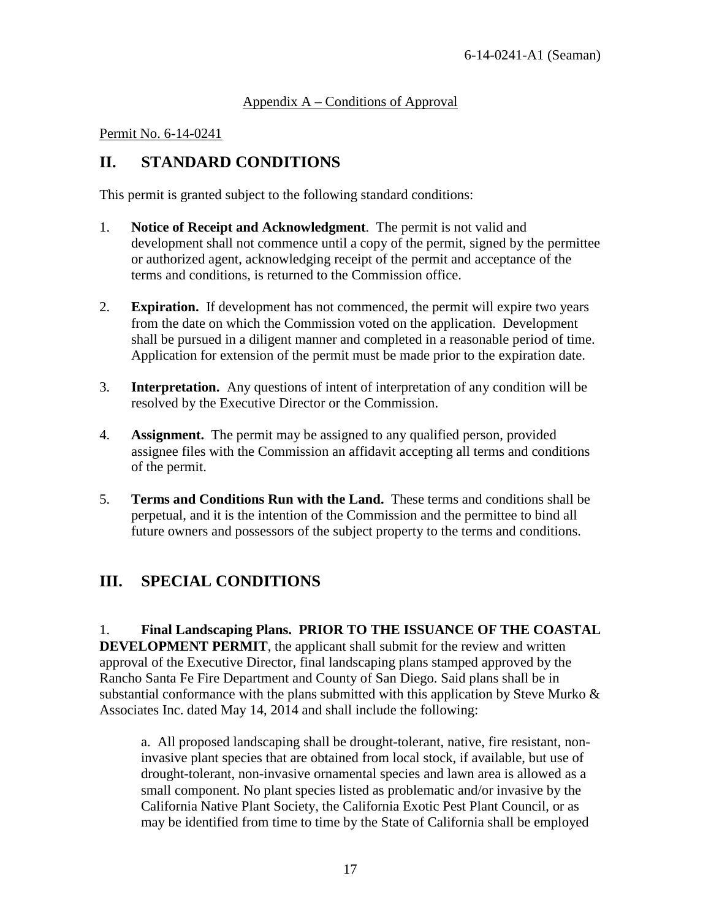#### <span id="page-16-0"></span>Appendix A – Conditions of Approval

#### Permit No. 6-14-0241

# **II. STANDARD CONDITIONS**

This permit is granted subject to the following standard conditions:

- 1. **Notice of Receipt and Acknowledgment**. The permit is not valid and development shall not commence until a copy of the permit, signed by the permittee or authorized agent, acknowledging receipt of the permit and acceptance of the terms and conditions, is returned to the Commission office.
- 2. **Expiration.** If development has not commenced, the permit will expire two years from the date on which the Commission voted on the application. Development shall be pursued in a diligent manner and completed in a reasonable period of time. Application for extension of the permit must be made prior to the expiration date.
- 3. **Interpretation.** Any questions of intent of interpretation of any condition will be resolved by the Executive Director or the Commission.
- 4. **Assignment.** The permit may be assigned to any qualified person, provided assignee files with the Commission an affidavit accepting all terms and conditions of the permit.
- 5. **Terms and Conditions Run with the Land.** These terms and conditions shall be perpetual, and it is the intention of the Commission and the permittee to bind all future owners and possessors of the subject property to the terms and conditions.

# **III. SPECIAL CONDITIONS**

1. **Final Landscaping Plans. PRIOR TO THE ISSUANCE OF THE COASTAL DEVELOPMENT PERMIT**, the applicant shall submit for the review and written approval of the Executive Director, final landscaping plans stamped approved by the Rancho Santa Fe Fire Department and County of San Diego. Said plans shall be in substantial conformance with the plans submitted with this application by Steve Murko  $\&$ Associates Inc. dated May 14, 2014 and shall include the following:

a. All proposed landscaping shall be drought-tolerant, native, fire resistant, noninvasive plant species that are obtained from local stock, if available, but use of drought-tolerant, non-invasive ornamental species and lawn area is allowed as a small component. No plant species listed as problematic and/or invasive by the California Native Plant Society, the California Exotic Pest Plant Council, or as may be identified from time to time by the State of California shall be employed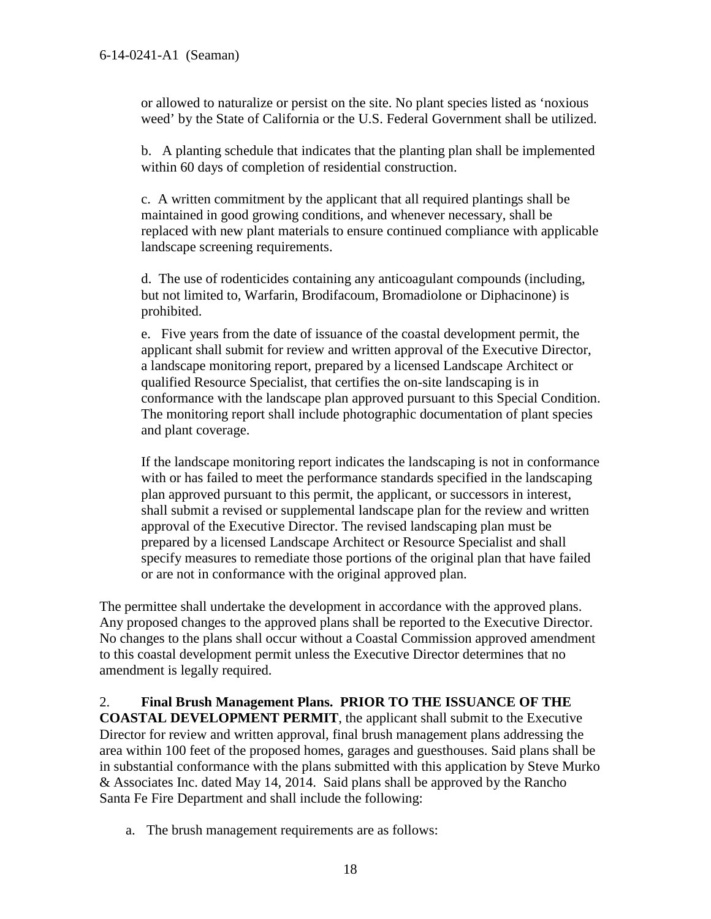or allowed to naturalize or persist on the site. No plant species listed as 'noxious weed' by the State of California or the U.S. Federal Government shall be utilized.

b. A planting schedule that indicates that the planting plan shall be implemented within 60 days of completion of residential construction.

c. A written commitment by the applicant that all required plantings shall be maintained in good growing conditions, and whenever necessary, shall be replaced with new plant materials to ensure continued compliance with applicable landscape screening requirements.

d. The use of rodenticides containing any anticoagulant compounds (including, but not limited to, Warfarin, Brodifacoum, Bromadiolone or Diphacinone) is prohibited.

e. Five years from the date of issuance of the coastal development permit, the applicant shall submit for review and written approval of the Executive Director, a landscape monitoring report, prepared by a licensed Landscape Architect or qualified Resource Specialist, that certifies the on-site landscaping is in conformance with the landscape plan approved pursuant to this Special Condition. The monitoring report shall include photographic documentation of plant species and plant coverage.

If the landscape monitoring report indicates the landscaping is not in conformance with or has failed to meet the performance standards specified in the landscaping plan approved pursuant to this permit, the applicant, or successors in interest, shall submit a revised or supplemental landscape plan for the review and written approval of the Executive Director. The revised landscaping plan must be prepared by a licensed Landscape Architect or Resource Specialist and shall specify measures to remediate those portions of the original plan that have failed or are not in conformance with the original approved plan.

The permittee shall undertake the development in accordance with the approved plans. Any proposed changes to the approved plans shall be reported to the Executive Director. No changes to the plans shall occur without a Coastal Commission approved amendment to this coastal development permit unless the Executive Director determines that no amendment is legally required.

#### 2. **Final Brush Management Plans. PRIOR TO THE ISSUANCE OF THE**

**COASTAL DEVELOPMENT PERMIT**, the applicant shall submit to the Executive Director for review and written approval, final brush management plans addressing the area within 100 feet of the proposed homes, garages and guesthouses. Said plans shall be in substantial conformance with the plans submitted with this application by Steve Murko & Associates Inc. dated May 14, 2014. Said plans shall be approved by the Rancho Santa Fe Fire Department and shall include the following:

a. The brush management requirements are as follows: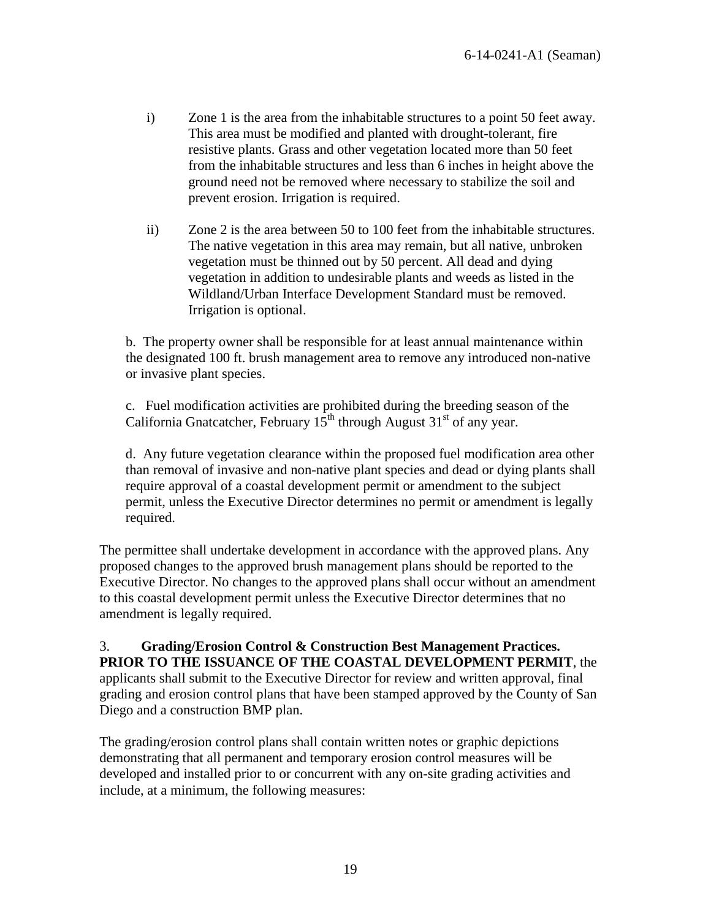- i) Zone 1 is the area from the inhabitable structures to a point 50 feet away. This area must be modified and planted with drought-tolerant, fire resistive plants. Grass and other vegetation located more than 50 feet from the inhabitable structures and less than 6 inches in height above the ground need not be removed where necessary to stabilize the soil and prevent erosion. Irrigation is required.
- ii) Zone 2 is the area between 50 to 100 feet from the inhabitable structures. The native vegetation in this area may remain, but all native, unbroken vegetation must be thinned out by 50 percent. All dead and dying vegetation in addition to undesirable plants and weeds as listed in the Wildland/Urban Interface Development Standard must be removed. Irrigation is optional.

b. The property owner shall be responsible for at least annual maintenance within the designated 100 ft. brush management area to remove any introduced non-native or invasive plant species.

c. Fuel modification activities are prohibited during the breeding season of the California Gnatcatcher, February  $15<sup>th</sup>$  through August  $31<sup>st</sup>$  of any year.

d. Any future vegetation clearance within the proposed fuel modification area other than removal of invasive and non-native plant species and dead or dying plants shall require approval of a coastal development permit or amendment to the subject permit, unless the Executive Director determines no permit or amendment is legally required.

The permittee shall undertake development in accordance with the approved plans. Any proposed changes to the approved brush management plans should be reported to the Executive Director. No changes to the approved plans shall occur without an amendment to this coastal development permit unless the Executive Director determines that no amendment is legally required.

3. **Grading/Erosion Control & Construction Best Management Practices. PRIOR TO THE ISSUANCE OF THE COASTAL DEVELOPMENT PERMIT**, the applicants shall submit to the Executive Director for review and written approval, final grading and erosion control plans that have been stamped approved by the County of San Diego and a construction BMP plan.

The grading/erosion control plans shall contain written notes or graphic depictions demonstrating that all permanent and temporary erosion control measures will be developed and installed prior to or concurrent with any on-site grading activities and include, at a minimum, the following measures: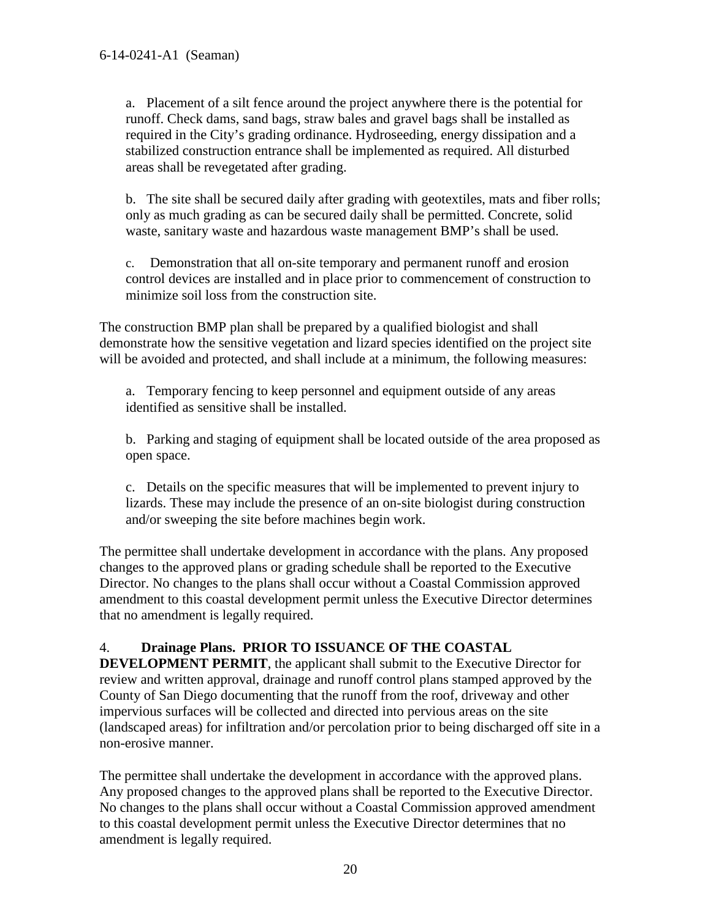a. Placement of a silt fence around the project anywhere there is the potential for runoff. Check dams, sand bags, straw bales and gravel bags shall be installed as required in the City's grading ordinance. Hydroseeding, energy dissipation and a stabilized construction entrance shall be implemented as required. All disturbed areas shall be revegetated after grading.

b. The site shall be secured daily after grading with geotextiles, mats and fiber rolls; only as much grading as can be secured daily shall be permitted. Concrete, solid waste, sanitary waste and hazardous waste management BMP's shall be used.

c. Demonstration that all on-site temporary and permanent runoff and erosion control devices are installed and in place prior to commencement of construction to minimize soil loss from the construction site.

The construction BMP plan shall be prepared by a qualified biologist and shall demonstrate how the sensitive vegetation and lizard species identified on the project site will be avoided and protected, and shall include at a minimum, the following measures:

a. Temporary fencing to keep personnel and equipment outside of any areas identified as sensitive shall be installed.

 b. Parking and staging of equipment shall be located outside of the area proposed as open space.

c. Details on the specific measures that will be implemented to prevent injury to lizards. These may include the presence of an on-site biologist during construction and/or sweeping the site before machines begin work.

The permittee shall undertake development in accordance with the plans. Any proposed changes to the approved plans or grading schedule shall be reported to the Executive Director. No changes to the plans shall occur without a Coastal Commission approved amendment to this coastal development permit unless the Executive Director determines that no amendment is legally required.

## 4. **Drainage Plans. PRIOR TO ISSUANCE OF THE COASTAL**

**DEVELOPMENT PERMIT**, the applicant shall submit to the Executive Director for review and written approval, drainage and runoff control plans stamped approved by the County of San Diego documenting that the runoff from the roof, driveway and other impervious surfaces will be collected and directed into pervious areas on the site (landscaped areas) for infiltration and/or percolation prior to being discharged off site in a non-erosive manner.

The permittee shall undertake the development in accordance with the approved plans. Any proposed changes to the approved plans shall be reported to the Executive Director. No changes to the plans shall occur without a Coastal Commission approved amendment to this coastal development permit unless the Executive Director determines that no amendment is legally required.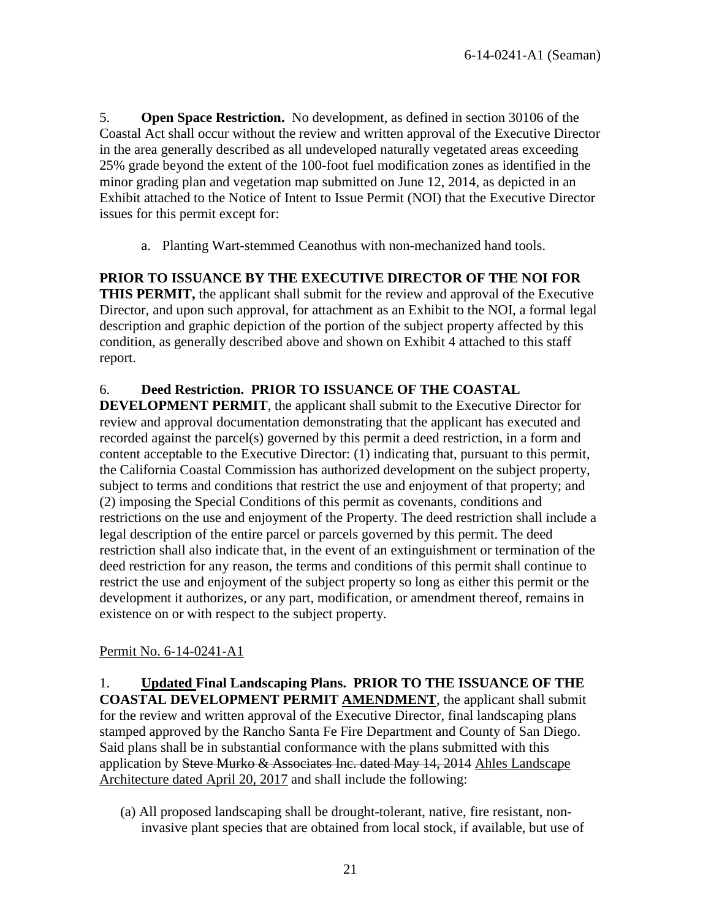5. **Open Space Restriction.** No development, as defined in section 30106 of the Coastal Act shall occur without the review and written approval of the Executive Director in the area generally described as all undeveloped naturally vegetated areas exceeding 25% grade beyond the extent of the 100-foot fuel modification zones as identified in the minor grading plan and vegetation map submitted on June 12, 2014, as depicted in an Exhibit attached to the Notice of Intent to Issue Permit (NOI) that the Executive Director issues for this permit except for:

a. Planting Wart-stemmed Ceanothus with non-mechanized hand tools.

**PRIOR TO ISSUANCE BY THE EXECUTIVE DIRECTOR OF THE NOI FOR THIS PERMIT,** the applicant shall submit for the review and approval of the Executive Director, and upon such approval, for attachment as an Exhibit to the NOI, a formal legal description and graphic depiction of the portion of the subject property affected by this condition, as generally described above and shown on Exhibit 4 attached to this staff report.

#### 6. **Deed Restriction. PRIOR TO ISSUANCE OF THE COASTAL**

**DEVELOPMENT PERMIT**, the applicant shall submit to the Executive Director for review and approval documentation demonstrating that the applicant has executed and recorded against the parcel(s) governed by this permit a deed restriction, in a form and content acceptable to the Executive Director: (1) indicating that, pursuant to this permit, the California Coastal Commission has authorized development on the subject property, subject to terms and conditions that restrict the use and enjoyment of that property; and (2) imposing the Special Conditions of this permit as covenants, conditions and restrictions on the use and enjoyment of the Property. The deed restriction shall include a legal description of the entire parcel or parcels governed by this permit. The deed restriction shall also indicate that, in the event of an extinguishment or termination of the deed restriction for any reason, the terms and conditions of this permit shall continue to restrict the use and enjoyment of the subject property so long as either this permit or the development it authorizes, or any part, modification, or amendment thereof, remains in existence on or with respect to the subject property.

#### Permit No. 6-14-0241-A1

1. **Updated Final Landscaping Plans. PRIOR TO THE ISSUANCE OF THE COASTAL DEVELOPMENT PERMIT AMENDMENT**, the applicant shall submit for the review and written approval of the Executive Director, final landscaping plans stamped approved by the Rancho Santa Fe Fire Department and County of San Diego. Said plans shall be in substantial conformance with the plans submitted with this application by Steve Murko & Associates Inc. dated May 14, 2014 Ahles Landscape Architecture dated April 20, 2017 and shall include the following:

(a) All proposed landscaping shall be drought-tolerant, native, fire resistant, noninvasive plant species that are obtained from local stock, if available, but use of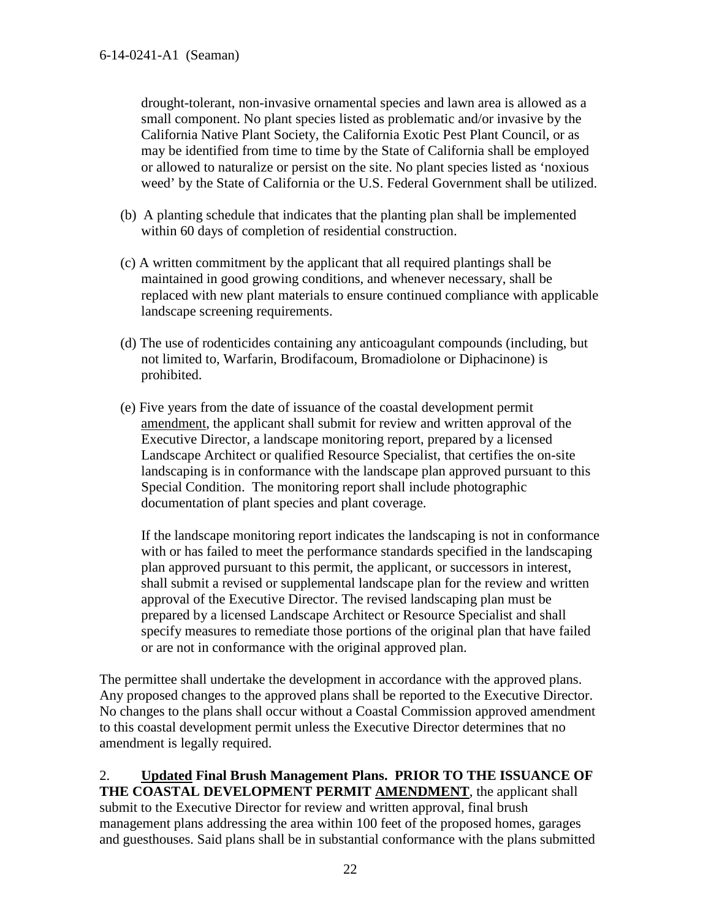drought-tolerant, non-invasive ornamental species and lawn area is allowed as a small component. No plant species listed as problematic and/or invasive by the California Native Plant Society, the California Exotic Pest Plant Council, or as may be identified from time to time by the State of California shall be employed or allowed to naturalize or persist on the site. No plant species listed as 'noxious weed' by the State of California or the U.S. Federal Government shall be utilized.

- (b) A planting schedule that indicates that the planting plan shall be implemented within 60 days of completion of residential construction.
- (c) A written commitment by the applicant that all required plantings shall be maintained in good growing conditions, and whenever necessary, shall be replaced with new plant materials to ensure continued compliance with applicable landscape screening requirements.
- (d) The use of rodenticides containing any anticoagulant compounds (including, but not limited to, Warfarin, Brodifacoum, Bromadiolone or Diphacinone) is prohibited.
- (e) Five years from the date of issuance of the coastal development permit amendment, the applicant shall submit for review and written approval of the Executive Director, a landscape monitoring report, prepared by a licensed Landscape Architect or qualified Resource Specialist, that certifies the on-site landscaping is in conformance with the landscape plan approved pursuant to this Special Condition. The monitoring report shall include photographic documentation of plant species and plant coverage.

If the landscape monitoring report indicates the landscaping is not in conformance with or has failed to meet the performance standards specified in the landscaping plan approved pursuant to this permit, the applicant, or successors in interest, shall submit a revised or supplemental landscape plan for the review and written approval of the Executive Director. The revised landscaping plan must be prepared by a licensed Landscape Architect or Resource Specialist and shall specify measures to remediate those portions of the original plan that have failed or are not in conformance with the original approved plan.

The permittee shall undertake the development in accordance with the approved plans. Any proposed changes to the approved plans shall be reported to the Executive Director. No changes to the plans shall occur without a Coastal Commission approved amendment to this coastal development permit unless the Executive Director determines that no amendment is legally required.

2. **Updated Final Brush Management Plans. PRIOR TO THE ISSUANCE OF THE COASTAL DEVELOPMENT PERMIT AMENDMENT**, the applicant shall submit to the Executive Director for review and written approval, final brush management plans addressing the area within 100 feet of the proposed homes, garages and guesthouses. Said plans shall be in substantial conformance with the plans submitted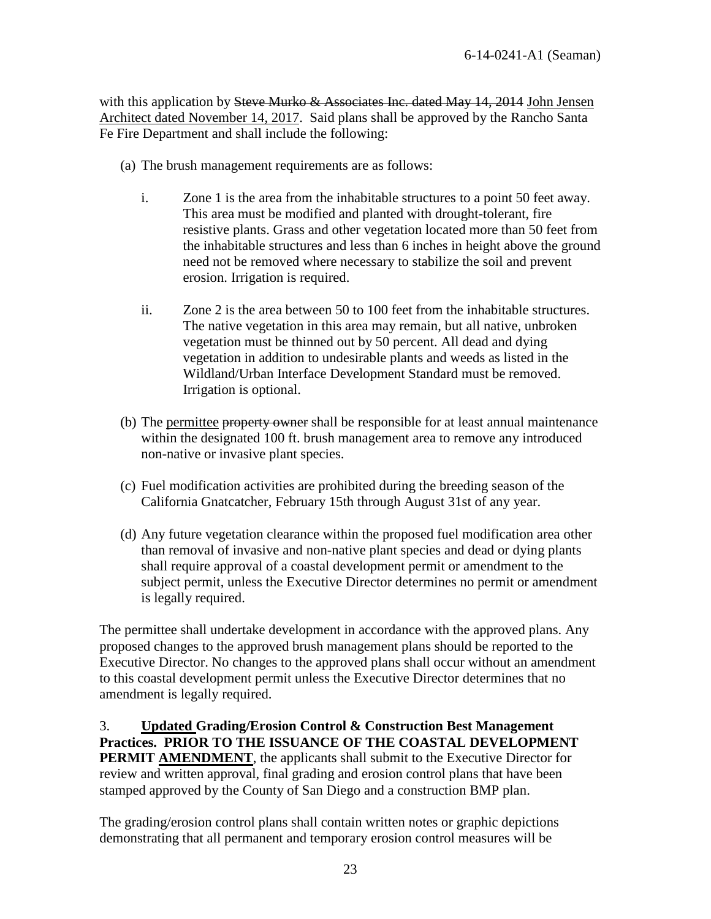with this application by Steve Murko & Associates Inc. dated May 14, 2014 John Jensen Architect dated November 14, 2017. Said plans shall be approved by the Rancho Santa Fe Fire Department and shall include the following:

- (a) The brush management requirements are as follows:
	- i. Zone 1 is the area from the inhabitable structures to a point 50 feet away. This area must be modified and planted with drought-tolerant, fire resistive plants. Grass and other vegetation located more than 50 feet from the inhabitable structures and less than 6 inches in height above the ground need not be removed where necessary to stabilize the soil and prevent erosion. Irrigation is required.
	- ii. Zone 2 is the area between 50 to 100 feet from the inhabitable structures. The native vegetation in this area may remain, but all native, unbroken vegetation must be thinned out by 50 percent. All dead and dying vegetation in addition to undesirable plants and weeds as listed in the Wildland/Urban Interface Development Standard must be removed. Irrigation is optional.
- (b) The permittee property owner shall be responsible for at least annual maintenance within the designated 100 ft. brush management area to remove any introduced non-native or invasive plant species.
- (c) Fuel modification activities are prohibited during the breeding season of the California Gnatcatcher, February 15th through August 31st of any year.
- (d) Any future vegetation clearance within the proposed fuel modification area other than removal of invasive and non-native plant species and dead or dying plants shall require approval of a coastal development permit or amendment to the subject permit, unless the Executive Director determines no permit or amendment is legally required.

The permittee shall undertake development in accordance with the approved plans. Any proposed changes to the approved brush management plans should be reported to the Executive Director. No changes to the approved plans shall occur without an amendment to this coastal development permit unless the Executive Director determines that no amendment is legally required.

3. **Updated Grading/Erosion Control & Construction Best Management Practices. PRIOR TO THE ISSUANCE OF THE COASTAL DEVELOPMENT PERMIT AMENDMENT**, the applicants shall submit to the Executive Director for review and written approval, final grading and erosion control plans that have been stamped approved by the County of San Diego and a construction BMP plan.

The grading/erosion control plans shall contain written notes or graphic depictions demonstrating that all permanent and temporary erosion control measures will be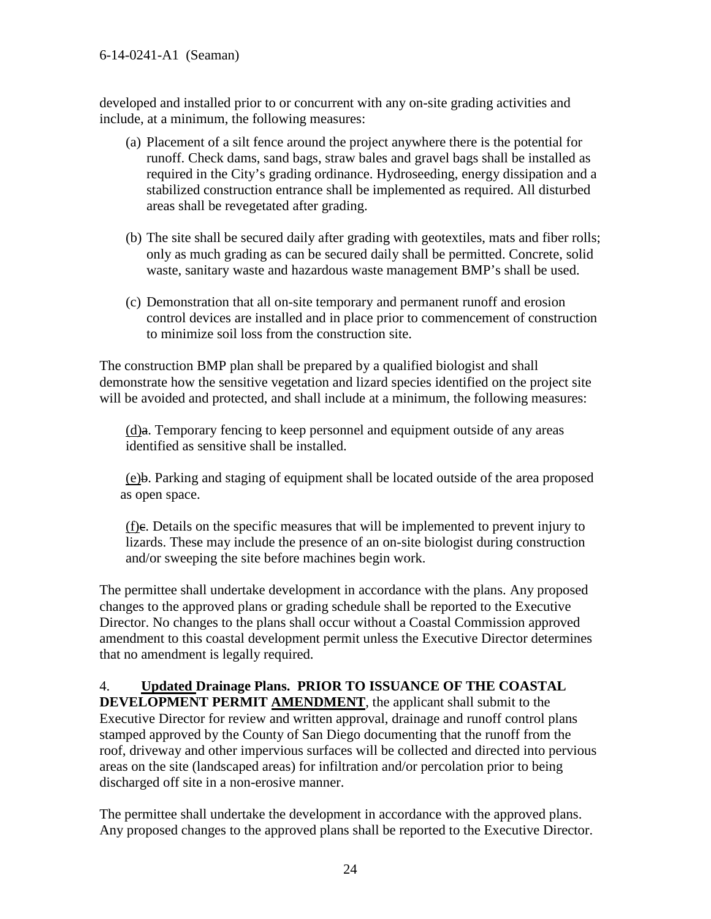#### 6-14-0241-A1 (Seaman)

developed and installed prior to or concurrent with any on-site grading activities and include, at a minimum, the following measures:

- (a) Placement of a silt fence around the project anywhere there is the potential for runoff. Check dams, sand bags, straw bales and gravel bags shall be installed as required in the City's grading ordinance. Hydroseeding, energy dissipation and a stabilized construction entrance shall be implemented as required. All disturbed areas shall be revegetated after grading.
- (b) The site shall be secured daily after grading with geotextiles, mats and fiber rolls; only as much grading as can be secured daily shall be permitted. Concrete, solid waste, sanitary waste and hazardous waste management BMP's shall be used.
- (c) Demonstration that all on-site temporary and permanent runoff and erosion control devices are installed and in place prior to commencement of construction to minimize soil loss from the construction site.

The construction BMP plan shall be prepared by a qualified biologist and shall demonstrate how the sensitive vegetation and lizard species identified on the project site will be avoided and protected, and shall include at a minimum, the following measures:

 $(d)$ a. Temporary fencing to keep personnel and equipment outside of any areas identified as sensitive shall be installed.

(e)b. Parking and staging of equipment shall be located outside of the area proposed as open space.

(f)c. Details on the specific measures that will be implemented to prevent injury to lizards. These may include the presence of an on-site biologist during construction and/or sweeping the site before machines begin work.

The permittee shall undertake development in accordance with the plans. Any proposed changes to the approved plans or grading schedule shall be reported to the Executive Director. No changes to the plans shall occur without a Coastal Commission approved amendment to this coastal development permit unless the Executive Director determines that no amendment is legally required.

# 4. **Updated Drainage Plans. PRIOR TO ISSUANCE OF THE COASTAL**

**DEVELOPMENT PERMIT AMENDMENT**, the applicant shall submit to the Executive Director for review and written approval, drainage and runoff control plans stamped approved by the County of San Diego documenting that the runoff from the roof, driveway and other impervious surfaces will be collected and directed into pervious areas on the site (landscaped areas) for infiltration and/or percolation prior to being discharged off site in a non-erosive manner.

The permittee shall undertake the development in accordance with the approved plans. Any proposed changes to the approved plans shall be reported to the Executive Director.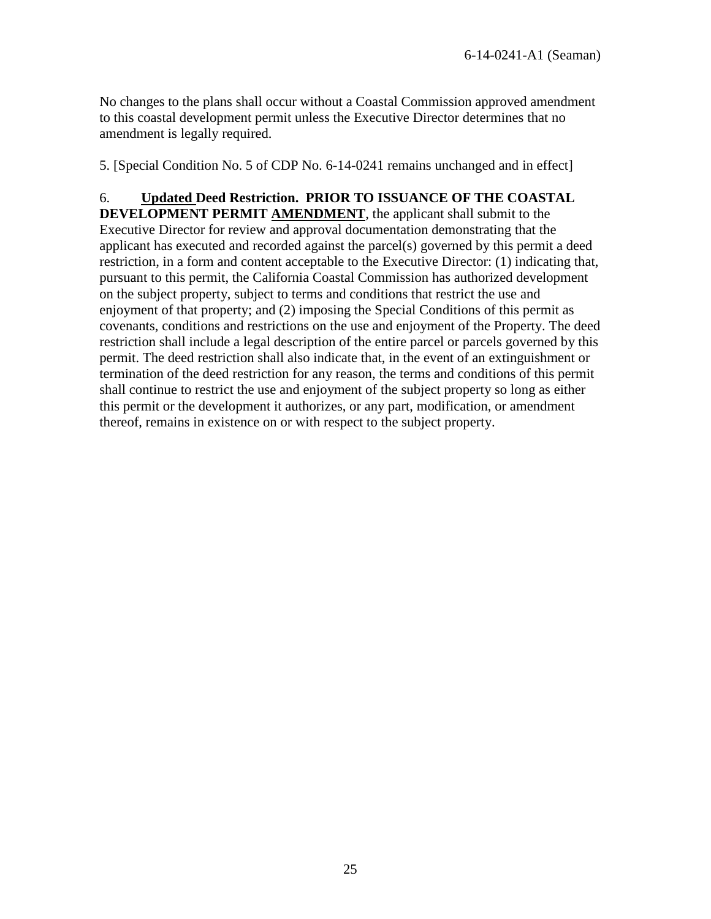No changes to the plans shall occur without a Coastal Commission approved amendment to this coastal development permit unless the Executive Director determines that no amendment is legally required.

5. [Special Condition No. 5 of CDP No. 6-14-0241 remains unchanged and in effect]

6. **Updated Deed Restriction. PRIOR TO ISSUANCE OF THE COASTAL DEVELOPMENT PERMIT AMENDMENT**, the applicant shall submit to the Executive Director for review and approval documentation demonstrating that the applicant has executed and recorded against the parcel(s) governed by this permit a deed restriction, in a form and content acceptable to the Executive Director: (1) indicating that, pursuant to this permit, the California Coastal Commission has authorized development on the subject property, subject to terms and conditions that restrict the use and enjoyment of that property; and (2) imposing the Special Conditions of this permit as covenants, conditions and restrictions on the use and enjoyment of the Property. The deed restriction shall include a legal description of the entire parcel or parcels governed by this permit. The deed restriction shall also indicate that, in the event of an extinguishment or termination of the deed restriction for any reason, the terms and conditions of this permit shall continue to restrict the use and enjoyment of the subject property so long as either this permit or the development it authorizes, or any part, modification, or amendment thereof, remains in existence on or with respect to the subject property.